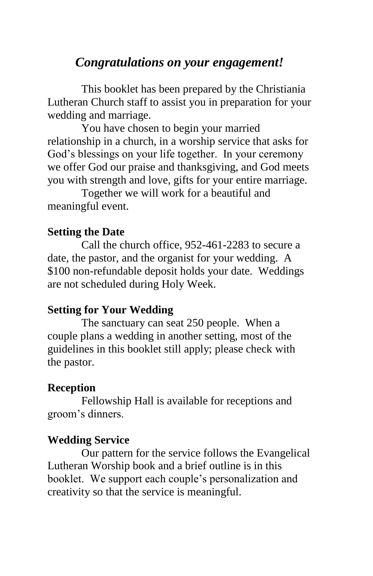# *Congratulations on your engagement!*

This booklet has been prepared by the Christiania Lutheran Church staff to assist you in preparation for your wedding and marriage.

You have chosen to begin your married relationship in a church, in a worship service that asks for God's blessings on your life together. In your ceremony we offer God our praise and thanksgiving, and God meets you with strength and love, gifts for your entire marriage.

Together we will work for a beautiful and meaningful event.

#### **Setting the Date**

Call the church office, 952-461-2283 to secure a date, the pastor, and the organist for your wedding. A \$100 non-refundable deposit holds your date. Weddings are not scheduled during Holy Week.

#### **Setting for Your Wedding**

The sanctuary can seat 250 people. When a couple plans a wedding in another setting, most of the guidelines in this booklet still apply; please check with the pastor.

#### **Reception**

Fellowship Hall is available for receptions and groom's dinners.

#### **Wedding Service**

Our pattern for the service follows the Evangelical Lutheran Worship book and a brief outline is in this booklet. We support each couple's personalization and creativity so that the service is meaningful.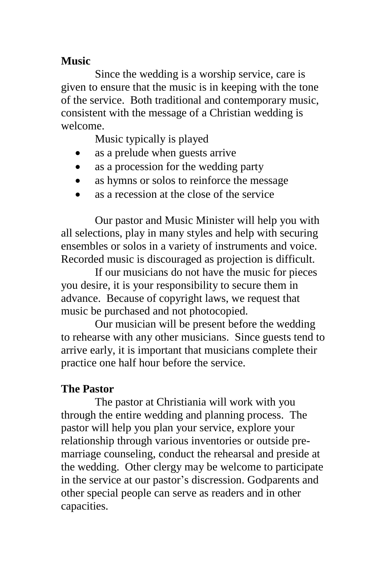### **Music**

Since the wedding is a worship service, care is given to ensure that the music is in keeping with the tone of the service. Both traditional and contemporary music, consistent with the message of a Christian wedding is welcome.

Music typically is played

- as a prelude when guests arrive
- as a procession for the wedding party
- as hymns or solos to reinforce the message
- as a recession at the close of the service

Our pastor and Music Minister will help you with all selections, play in many styles and help with securing ensembles or solos in a variety of instruments and voice. Recorded music is discouraged as projection is difficult.

If our musicians do not have the music for pieces you desire, it is your responsibility to secure them in advance. Because of copyright laws, we request that music be purchased and not photocopied.

Our musician will be present before the wedding to rehearse with any other musicians. Since guests tend to arrive early, it is important that musicians complete their practice one half hour before the service.

## **The Pastor**

The pastor at Christiania will work with you through the entire wedding and planning process. The pastor will help you plan your service, explore your relationship through various inventories or outside premarriage counseling, conduct the rehearsal and preside at the wedding. Other clergy may be welcome to participate in the service at our pastor's discression. Godparents and other special people can serve as readers and in other capacities.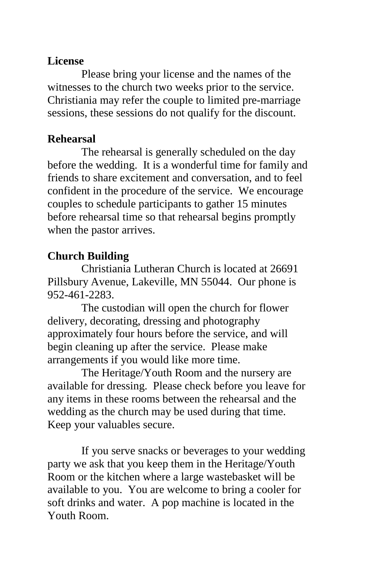### **License**

Please bring your license and the names of the witnesses to the church two weeks prior to the service. Christiania may refer the couple to limited pre-marriage sessions, these sessions do not qualify for the discount.

### **Rehearsal**

The rehearsal is generally scheduled on the day before the wedding. It is a wonderful time for family and friends to share excitement and conversation, and to feel confident in the procedure of the service. We encourage couples to schedule participants to gather 15 minutes before rehearsal time so that rehearsal begins promptly when the pastor arrives.

# **Church Building**

Christiania Lutheran Church is located at 26691 Pillsbury Avenue, Lakeville, MN 55044. Our phone is 952-461-2283.

The custodian will open the church for flower delivery, decorating, dressing and photography approximately four hours before the service, and will begin cleaning up after the service. Please make arrangements if you would like more time.

The Heritage/Youth Room and the nursery are available for dressing. Please check before you leave for any items in these rooms between the rehearsal and the wedding as the church may be used during that time. Keep your valuables secure.

If you serve snacks or beverages to your wedding party we ask that you keep them in the Heritage/Youth Room or the kitchen where a large wastebasket will be available to you. You are welcome to bring a cooler for soft drinks and water. A pop machine is located in the Youth Room.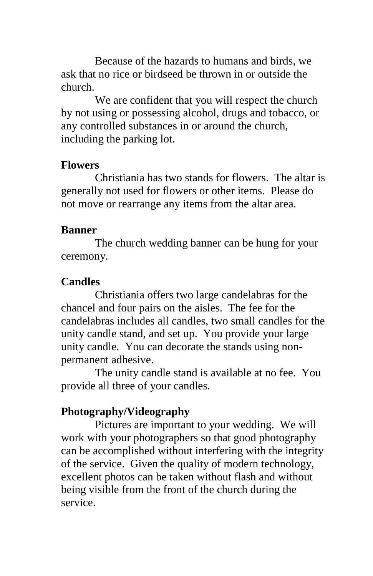Because of the hazards to humans and birds, we ask that no rice or birdseed be thrown in or outside the church.

We are confident that you will respect the church by not using or possessing alcohol, drugs and tobacco, or any controlled substances in or around the church, including the parking lot.

#### **Flowers**

Christiania has two stands for flowers. The altar is generally not used for flowers or other items. Please do not move or rearrange any items from the altar area.

#### **Banner**

The church wedding banner can be hung for your ceremony.

### **Candles**

Christiania offers two large candelabras for the chancel and four pairs on the aisles. The fee for the candelabras includes all candles, two small candles for the unity candle stand, and set up. You provide your large unity candle. You can decorate the stands using nonpermanent adhesive.

The unity candle stand is available at no fee. You provide all three of your candles.

### **Photography/Videography**

Pictures are important to your wedding. We will work with your photographers so that good photography can be accomplished without interfering with the integrity of the service. Given the quality of modern technology, excellent photos can be taken without flash and without being visible from the front of the church during the service.